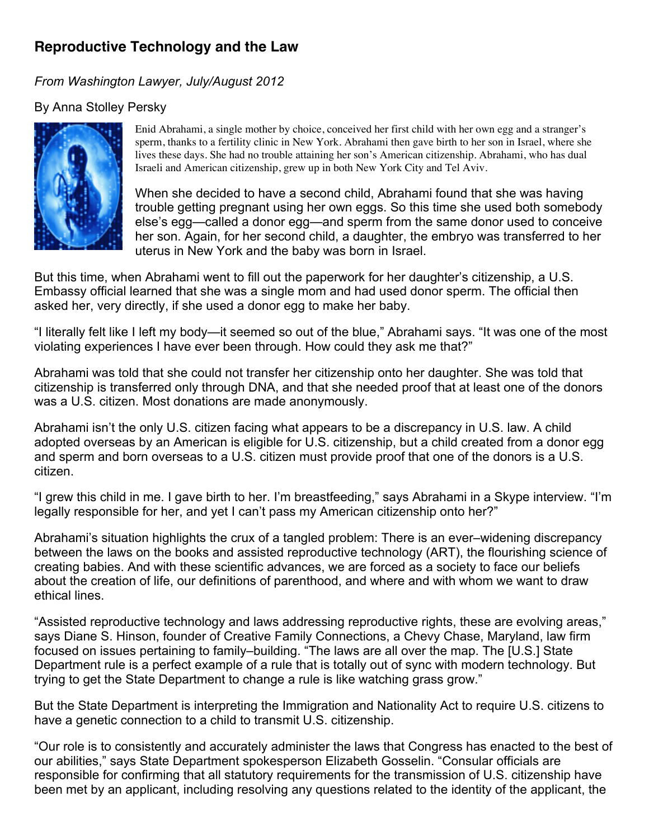# **Reproductive Technology and the Law**

# *From Washington Lawyer, July/August 2012*

# By Anna Stolley Persky



Enid Abrahami, a single mother by choice, conceived her first child with her own egg and a stranger's sperm, thanks to a fertility clinic in New York. Abrahami then gave birth to her son in Israel, where she lives these days. She had no trouble attaining her son's American citizenship. Abrahami, who has dual Israeli and American citizenship, grew up in both New York City and Tel Aviv.

When she decided to have a second child, Abrahami found that she was having trouble getting pregnant using her own eggs. So this time she used both somebody else's egg—called a donor egg—and sperm from the same donor used to conceive her son. Again, for her second child, a daughter, the embryo was transferred to her uterus in New York and the baby was born in Israel.

But this time, when Abrahami went to fill out the paperwork for her daughter's citizenship, a U.S. Embassy official learned that she was a single mom and had used donor sperm. The official then asked her, very directly, if she used a donor egg to make her baby.

"I literally felt like I left my body—it seemed so out of the blue," Abrahami says. "It was one of the most violating experiences I have ever been through. How could they ask me that?"

Abrahami was told that she could not transfer her citizenship onto her daughter. She was told that citizenship is transferred only through DNA, and that she needed proof that at least one of the donors was a U.S. citizen. Most donations are made anonymously.

Abrahami isn't the only U.S. citizen facing what appears to be a discrepancy in U.S. law. A child adopted overseas by an American is eligible for U.S. citizenship, but a child created from a donor egg and sperm and born overseas to a U.S. citizen must provide proof that one of the donors is a U.S. citizen.

"I grew this child in me. I gave birth to her. I'm breastfeeding," says Abrahami in a Skype interview. "I'm legally responsible for her, and yet I can't pass my American citizenship onto her?"

Abrahami's situation highlights the crux of a tangled problem: There is an ever–widening discrepancy between the laws on the books and assisted reproductive technology (ART), the flourishing science of creating babies. And with these scientific advances, we are forced as a society to face our beliefs about the creation of life, our definitions of parenthood, and where and with whom we want to draw ethical lines.

"Assisted reproductive technology and laws addressing reproductive rights, these are evolving areas," says Diane S. Hinson, founder of Creative Family Connections, a Chevy Chase, Maryland, law firm focused on issues pertaining to family–building. "The laws are all over the map. The [U.S.] State Department rule is a perfect example of a rule that is totally out of sync with modern technology. But trying to get the State Department to change a rule is like watching grass grow."

But the State Department is interpreting the Immigration and Nationality Act to require U.S. citizens to have a genetic connection to a child to transmit U.S. citizenship.

"Our role is to consistently and accurately administer the laws that Congress has enacted to the best of our abilities," says State Department spokesperson Elizabeth Gosselin. "Consular officials are responsible for confirming that all statutory requirements for the transmission of U.S. citizenship have been met by an applicant, including resolving any questions related to the identity of the applicant, the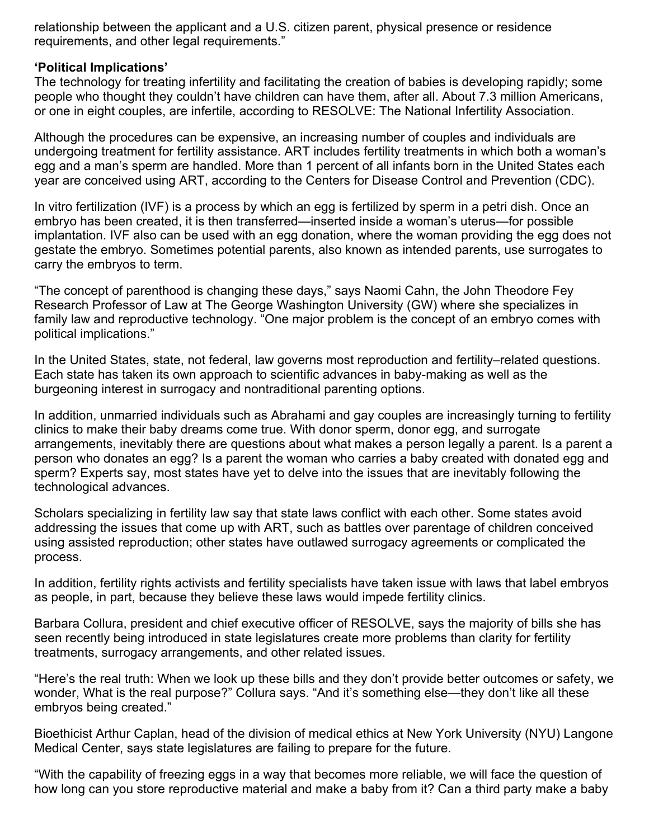relationship between the applicant and a U.S. citizen parent, physical presence or residence requirements, and other legal requirements."

### **'Political Implications'**

The technology for treating infertility and facilitating the creation of babies is developing rapidly; some people who thought they couldn't have children can have them, after all. About 7.3 million Americans, or one in eight couples, are infertile, according to RESOLVE: The National Infertility Association.

Although the procedures can be expensive, an increasing number of couples and individuals are undergoing treatment for fertility assistance. ART includes fertility treatments in which both a woman's egg and a man's sperm are handled. More than 1 percent of all infants born in the United States each year are conceived using ART, according to the Centers for Disease Control and Prevention (CDC).

In vitro fertilization (IVF) is a process by which an egg is fertilized by sperm in a petri dish. Once an embryo has been created, it is then transferred—inserted inside a woman's uterus—for possible implantation. IVF also can be used with an egg donation, where the woman providing the egg does not gestate the embryo. Sometimes potential parents, also known as intended parents, use surrogates to carry the embryos to term.

"The concept of parenthood is changing these days," says Naomi Cahn, the John Theodore Fey Research Professor of Law at The George Washington University (GW) where she specializes in family law and reproductive technology. "One major problem is the concept of an embryo comes with political implications."

In the United States, state, not federal, law governs most reproduction and fertility–related questions. Each state has taken its own approach to scientific advances in baby-making as well as the burgeoning interest in surrogacy and nontraditional parenting options.

In addition, unmarried individuals such as Abrahami and gay couples are increasingly turning to fertility clinics to make their baby dreams come true. With donor sperm, donor egg, and surrogate arrangements, inevitably there are questions about what makes a person legally a parent. Is a parent a person who donates an egg? Is a parent the woman who carries a baby created with donated egg and sperm? Experts say, most states have yet to delve into the issues that are inevitably following the technological advances.

Scholars specializing in fertility law say that state laws conflict with each other. Some states avoid addressing the issues that come up with ART, such as battles over parentage of children conceived using assisted reproduction; other states have outlawed surrogacy agreements or complicated the process.

In addition, fertility rights activists and fertility specialists have taken issue with laws that label embryos as people, in part, because they believe these laws would impede fertility clinics.

Barbara Collura, president and chief executive officer of RESOLVE, says the majority of bills she has seen recently being introduced in state legislatures create more problems than clarity for fertility treatments, surrogacy arrangements, and other related issues.

"Here's the real truth: When we look up these bills and they don't provide better outcomes or safety, we wonder, What is the real purpose?" Collura says. "And it's something else—they don't like all these embryos being created."

Bioethicist Arthur Caplan, head of the division of medical ethics at New York University (NYU) Langone Medical Center, says state legislatures are failing to prepare for the future.

"With the capability of freezing eggs in a way that becomes more reliable, we will face the question of how long can you store reproductive material and make a baby from it? Can a third party make a baby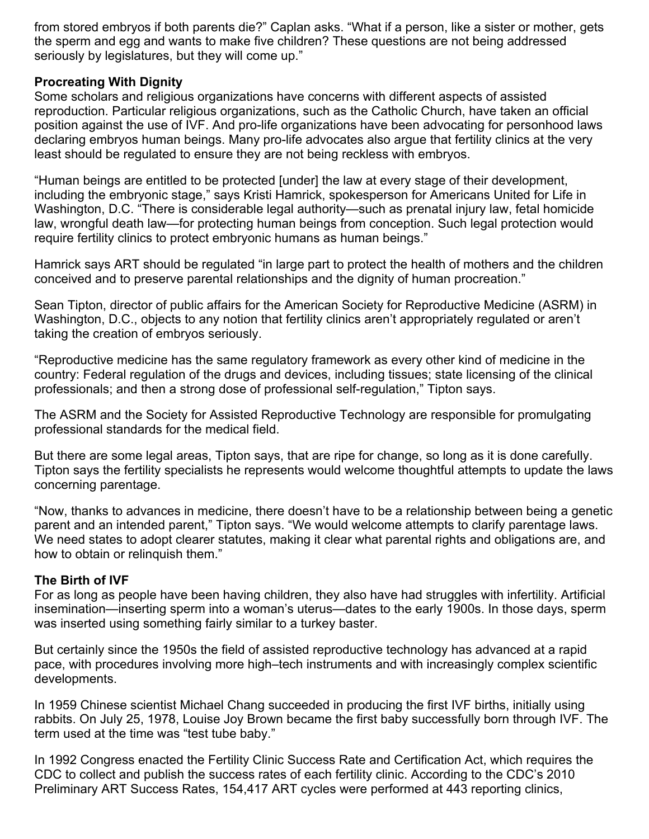from stored embryos if both parents die?" Caplan asks. "What if a person, like a sister or mother, gets the sperm and egg and wants to make five children? These questions are not being addressed seriously by legislatures, but they will come up."

### **Procreating With Dignity**

Some scholars and religious organizations have concerns with different aspects of assisted reproduction. Particular religious organizations, such as the Catholic Church, have taken an official position against the use of IVF. And pro-life organizations have been advocating for personhood laws declaring embryos human beings. Many pro-life advocates also argue that fertility clinics at the very least should be regulated to ensure they are not being reckless with embryos.

"Human beings are entitled to be protected [under] the law at every stage of their development, including the embryonic stage," says Kristi Hamrick, spokesperson for Americans United for Life in Washington, D.C. "There is considerable legal authority—such as prenatal injury law, fetal homicide law, wrongful death law—for protecting human beings from conception. Such legal protection would require fertility clinics to protect embryonic humans as human beings."

Hamrick says ART should be regulated "in large part to protect the health of mothers and the children conceived and to preserve parental relationships and the dignity of human procreation."

Sean Tipton, director of public affairs for the American Society for Reproductive Medicine (ASRM) in Washington, D.C., objects to any notion that fertility clinics aren't appropriately regulated or aren't taking the creation of embryos seriously.

"Reproductive medicine has the same regulatory framework as every other kind of medicine in the country: Federal regulation of the drugs and devices, including tissues; state licensing of the clinical professionals; and then a strong dose of professional self-regulation," Tipton says.

The ASRM and the Society for Assisted Reproductive Technology are responsible for promulgating professional standards for the medical field.

But there are some legal areas, Tipton says, that are ripe for change, so long as it is done carefully. Tipton says the fertility specialists he represents would welcome thoughtful attempts to update the laws concerning parentage.

"Now, thanks to advances in medicine, there doesn't have to be a relationship between being a genetic parent and an intended parent," Tipton says. "We would welcome attempts to clarify parentage laws. We need states to adopt clearer statutes, making it clear what parental rights and obligations are, and how to obtain or relinquish them."

#### **The Birth of IVF**

For as long as people have been having children, they also have had struggles with infertility. Artificial insemination—inserting sperm into a woman's uterus—dates to the early 1900s. In those days, sperm was inserted using something fairly similar to a turkey baster.

But certainly since the 1950s the field of assisted reproductive technology has advanced at a rapid pace, with procedures involving more high–tech instruments and with increasingly complex scientific developments.

In 1959 Chinese scientist Michael Chang succeeded in producing the first IVF births, initially using rabbits. On July 25, 1978, Louise Joy Brown became the first baby successfully born through IVF. The term used at the time was "test tube baby."

In 1992 Congress enacted the Fertility Clinic Success Rate and Certification Act, which requires the CDC to collect and publish the success rates of each fertility clinic. According to the CDC's 2010 Preliminary ART Success Rates, 154,417 ART cycles were performed at 443 reporting clinics,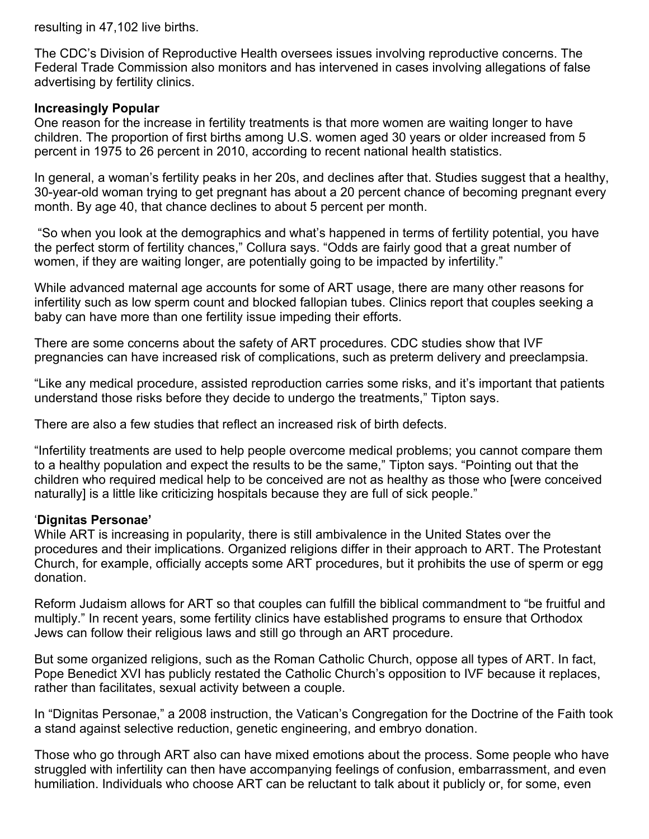resulting in 47,102 live births.

The CDC's Division of Reproductive Health oversees issues involving reproductive concerns. The Federal Trade Commission also monitors and has intervened in cases involving allegations of false advertising by fertility clinics.

#### **Increasingly Popular**

One reason for the increase in fertility treatments is that more women are waiting longer to have children. The proportion of first births among U.S. women aged 30 years or older increased from 5 percent in 1975 to 26 percent in 2010, according to recent national health statistics.

In general, a woman's fertility peaks in her 20s, and declines after that. Studies suggest that a healthy, 30-year-old woman trying to get pregnant has about a 20 percent chance of becoming pregnant every month. By age 40, that chance declines to about 5 percent per month.

 "So when you look at the demographics and what's happened in terms of fertility potential, you have the perfect storm of fertility chances," Collura says. "Odds are fairly good that a great number of women, if they are waiting longer, are potentially going to be impacted by infertility."

While advanced maternal age accounts for some of ART usage, there are many other reasons for infertility such as low sperm count and blocked fallopian tubes. Clinics report that couples seeking a baby can have more than one fertility issue impeding their efforts.

There are some concerns about the safety of ART procedures. CDC studies show that IVF pregnancies can have increased risk of complications, such as preterm delivery and preeclampsia.

"Like any medical procedure, assisted reproduction carries some risks, and it's important that patients understand those risks before they decide to undergo the treatments," Tipton says.

There are also a few studies that reflect an increased risk of birth defects.

"Infertility treatments are used to help people overcome medical problems; you cannot compare them to a healthy population and expect the results to be the same," Tipton says. "Pointing out that the children who required medical help to be conceived are not as healthy as those who [were conceived naturally] is a little like criticizing hospitals because they are full of sick people."

#### '**Dignitas Personae'**

While ART is increasing in popularity, there is still ambivalence in the United States over the procedures and their implications. Organized religions differ in their approach to ART. The Protestant Church, for example, officially accepts some ART procedures, but it prohibits the use of sperm or egg donation.

Reform Judaism allows for ART so that couples can fulfill the biblical commandment to "be fruitful and multiply." In recent years, some fertility clinics have established programs to ensure that Orthodox Jews can follow their religious laws and still go through an ART procedure.

But some organized religions, such as the Roman Catholic Church, oppose all types of ART. In fact, Pope Benedict XVI has publicly restated the Catholic Church's opposition to IVF because it replaces, rather than facilitates, sexual activity between a couple.

In "Dignitas Personae," a 2008 instruction, the Vatican's Congregation for the Doctrine of the Faith took a stand against selective reduction, genetic engineering, and embryo donation.

Those who go through ART also can have mixed emotions about the process. Some people who have struggled with infertility can then have accompanying feelings of confusion, embarrassment, and even humiliation. Individuals who choose ART can be reluctant to talk about it publicly or, for some, even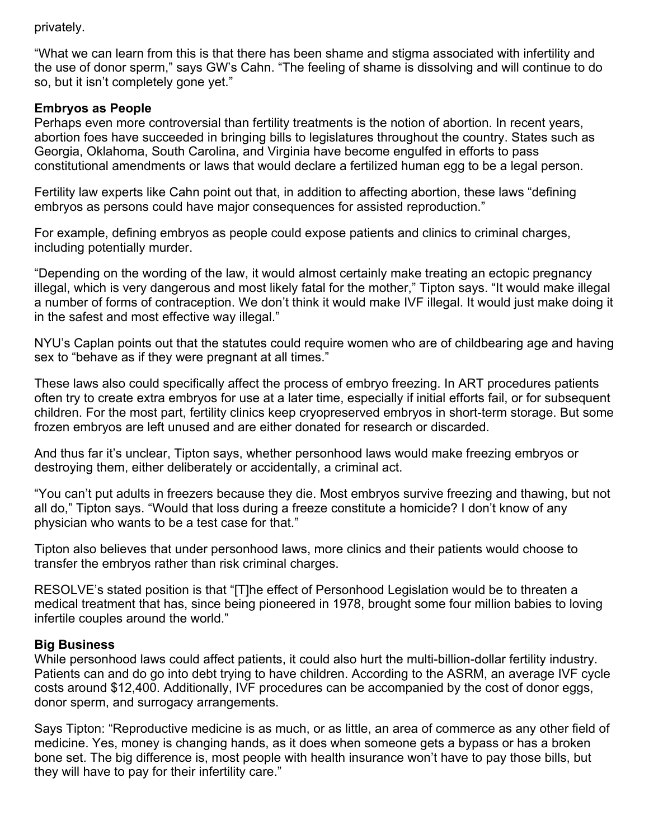#### privately.

"What we can learn from this is that there has been shame and stigma associated with infertility and the use of donor sperm," says GW's Cahn. "The feeling of shame is dissolving and will continue to do so, but it isn't completely gone yet."

#### **Embryos as People**

Perhaps even more controversial than fertility treatments is the notion of abortion. In recent years, abortion foes have succeeded in bringing bills to legislatures throughout the country. States such as Georgia, Oklahoma, South Carolina, and Virginia have become engulfed in efforts to pass constitutional amendments or laws that would declare a fertilized human egg to be a legal person.

Fertility law experts like Cahn point out that, in addition to affecting abortion, these laws "defining embryos as persons could have major consequences for assisted reproduction."

For example, defining embryos as people could expose patients and clinics to criminal charges, including potentially murder.

"Depending on the wording of the law, it would almost certainly make treating an ectopic pregnancy illegal, which is very dangerous and most likely fatal for the mother," Tipton says. "It would make illegal a number of forms of contraception. We don't think it would make IVF illegal. It would just make doing it in the safest and most effective way illegal."

NYU's Caplan points out that the statutes could require women who are of childbearing age and having sex to "behave as if they were pregnant at all times."

These laws also could specifically affect the process of embryo freezing. In ART procedures patients often try to create extra embryos for use at a later time, especially if initial efforts fail, or for subsequent children. For the most part, fertility clinics keep cryopreserved embryos in short-term storage. But some frozen embryos are left unused and are either donated for research or discarded.

And thus far it's unclear, Tipton says, whether personhood laws would make freezing embryos or destroying them, either deliberately or accidentally, a criminal act.

"You can't put adults in freezers because they die. Most embryos survive freezing and thawing, but not all do," Tipton says. "Would that loss during a freeze constitute a homicide? I don't know of any physician who wants to be a test case for that."

Tipton also believes that under personhood laws, more clinics and their patients would choose to transfer the embryos rather than risk criminal charges.

RESOLVE's stated position is that "[T]he effect of Personhood Legislation would be to threaten a medical treatment that has, since being pioneered in 1978, brought some four million babies to loving infertile couples around the world."

#### **Big Business**

While personhood laws could affect patients, it could also hurt the multi-billion-dollar fertility industry. Patients can and do go into debt trying to have children. According to the ASRM, an average IVF cycle costs around \$12,400. Additionally, IVF procedures can be accompanied by the cost of donor eggs, donor sperm, and surrogacy arrangements.

Says Tipton: "Reproductive medicine is as much, or as little, an area of commerce as any other field of medicine. Yes, money is changing hands, as it does when someone gets a bypass or has a broken bone set. The big difference is, most people with health insurance won't have to pay those bills, but they will have to pay for their infertility care."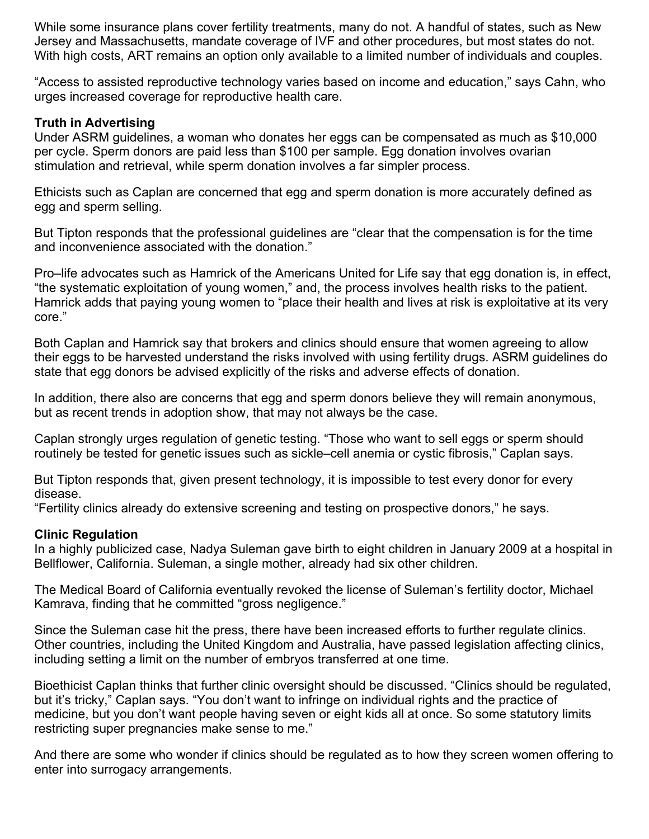While some insurance plans cover fertility treatments, many do not. A handful of states, such as New Jersey and Massachusetts, mandate coverage of IVF and other procedures, but most states do not. With high costs, ART remains an option only available to a limited number of individuals and couples.

"Access to assisted reproductive technology varies based on income and education," says Cahn, who urges increased coverage for reproductive health care.

#### **Truth in Advertising**

Under ASRM guidelines, a woman who donates her eggs can be compensated as much as \$10,000 per cycle. Sperm donors are paid less than \$100 per sample. Egg donation involves ovarian stimulation and retrieval, while sperm donation involves a far simpler process.

Ethicists such as Caplan are concerned that egg and sperm donation is more accurately defined as egg and sperm selling.

But Tipton responds that the professional guidelines are "clear that the compensation is for the time and inconvenience associated with the donation."

Pro–life advocates such as Hamrick of the Americans United for Life say that egg donation is, in effect, "the systematic exploitation of young women," and, the process involves health risks to the patient. Hamrick adds that paying young women to "place their health and lives at risk is exploitative at its very core."

Both Caplan and Hamrick say that brokers and clinics should ensure that women agreeing to allow their eggs to be harvested understand the risks involved with using fertility drugs. ASRM guidelines do state that egg donors be advised explicitly of the risks and adverse effects of donation.

In addition, there also are concerns that egg and sperm donors believe they will remain anonymous, but as recent trends in adoption show, that may not always be the case.

Caplan strongly urges regulation of genetic testing. "Those who want to sell eggs or sperm should routinely be tested for genetic issues such as sickle–cell anemia or cystic fibrosis," Caplan says.

But Tipton responds that, given present technology, it is impossible to test every donor for every disease.

"Fertility clinics already do extensive screening and testing on prospective donors," he says.

# **Clinic Regulation**

In a highly publicized case, Nadya Suleman gave birth to eight children in January 2009 at a hospital in Bellflower, California. Suleman, a single mother, already had six other children.

The Medical Board of California eventually revoked the license of Suleman's fertility doctor, Michael Kamrava, finding that he committed "gross negligence."

Since the Suleman case hit the press, there have been increased efforts to further regulate clinics. Other countries, including the United Kingdom and Australia, have passed legislation affecting clinics, including setting a limit on the number of embryos transferred at one time.

Bioethicist Caplan thinks that further clinic oversight should be discussed. "Clinics should be regulated, but it's tricky," Caplan says. "You don't want to infringe on individual rights and the practice of medicine, but you don't want people having seven or eight kids all at once. So some statutory limits restricting super pregnancies make sense to me."

And there are some who wonder if clinics should be regulated as to how they screen women offering to enter into surrogacy arrangements.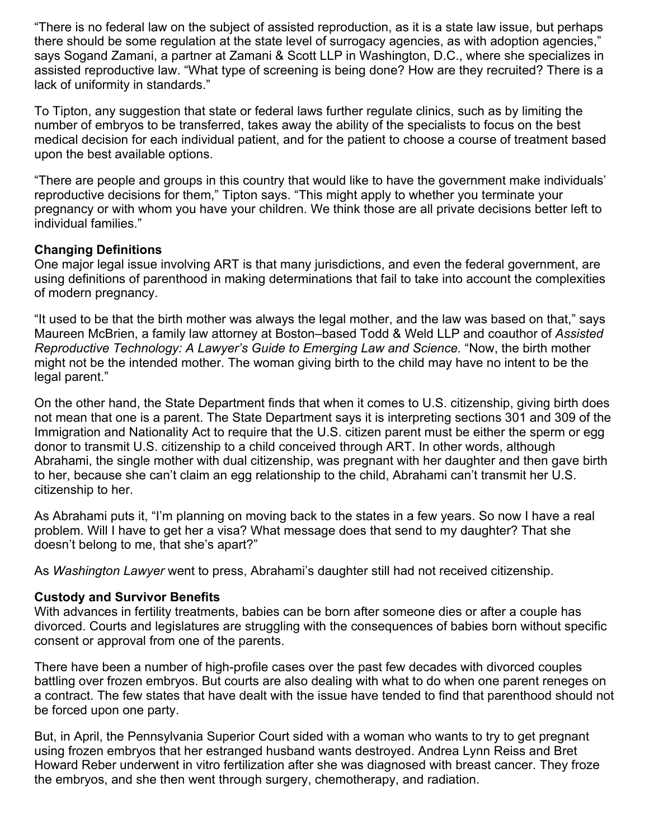"There is no federal law on the subject of assisted reproduction, as it is a state law issue, but perhaps there should be some regulation at the state level of surrogacy agencies, as with adoption agencies," says Sogand Zamani, a partner at Zamani & Scott LLP in Washington, D.C., where she specializes in assisted reproductive law. "What type of screening is being done? How are they recruited? There is a lack of uniformity in standards."

To Tipton, any suggestion that state or federal laws further regulate clinics, such as by limiting the number of embryos to be transferred, takes away the ability of the specialists to focus on the best medical decision for each individual patient, and for the patient to choose a course of treatment based upon the best available options.

"There are people and groups in this country that would like to have the government make individuals' reproductive decisions for them," Tipton says. "This might apply to whether you terminate your pregnancy or with whom you have your children. We think those are all private decisions better left to individual families."

# **Changing Definitions**

One major legal issue involving ART is that many jurisdictions, and even the federal government, are using definitions of parenthood in making determinations that fail to take into account the complexities of modern pregnancy.

"It used to be that the birth mother was always the legal mother, and the law was based on that," says Maureen McBrien, a family law attorney at Boston–based Todd & Weld LLP and coauthor of *Assisted Reproductive Technology: A Lawyer's Guide to Emerging Law and Science.* "Now, the birth mother might not be the intended mother. The woman giving birth to the child may have no intent to be the legal parent."

On the other hand, the State Department finds that when it comes to U.S. citizenship, giving birth does not mean that one is a parent. The State Department says it is interpreting sections 301 and 309 of the Immigration and Nationality Act to require that the U.S. citizen parent must be either the sperm or egg donor to transmit U.S. citizenship to a child conceived through ART. In other words, although Abrahami, the single mother with dual citizenship, was pregnant with her daughter and then gave birth to her, because she can't claim an egg relationship to the child, Abrahami can't transmit her U.S. citizenship to her.

As Abrahami puts it, "I'm planning on moving back to the states in a few years. So now I have a real problem. Will I have to get her a visa? What message does that send to my daughter? That she doesn't belong to me, that she's apart?"

As *Washington Lawyer* went to press, Abrahami's daughter still had not received citizenship.

# **Custody and Survivor Benefits**

With advances in fertility treatments, babies can be born after someone dies or after a couple has divorced. Courts and legislatures are struggling with the consequences of babies born without specific consent or approval from one of the parents.

There have been a number of high-profile cases over the past few decades with divorced couples battling over frozen embryos. But courts are also dealing with what to do when one parent reneges on a contract. The few states that have dealt with the issue have tended to find that parenthood should not be forced upon one party.

But, in April, the Pennsylvania Superior Court sided with a woman who wants to try to get pregnant using frozen embryos that her estranged husband wants destroyed. Andrea Lynn Reiss and Bret Howard Reber underwent in vitro fertilization after she was diagnosed with breast cancer. They froze the embryos, and she then went through surgery, chemotherapy, and radiation.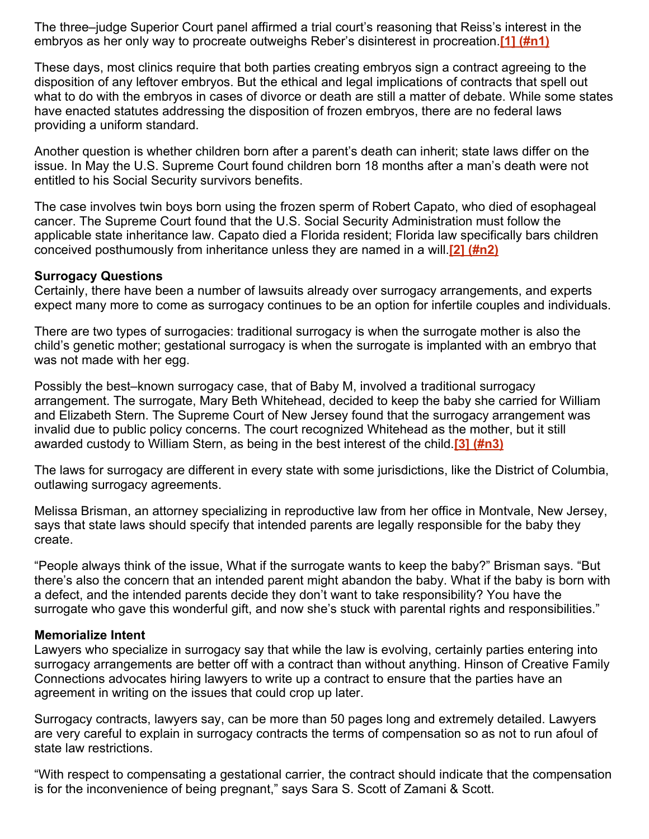The three–judge Superior Court panel affirmed a trial court's reasoning that Reiss's interest in the embryos as her only way to procreate outweighs Reber's disinterest in procreation.**[\[1\] \(#n1\)](http://www.dcbar.org/bar-resources/publications/washington-lawyer/articles/july-august-2012-reproductive-tech.cfm#n1)**

These days, most clinics require that both parties creating embryos sign a contract agreeing to the disposition of any leftover embryos. But the ethical and legal implications of contracts that spell out what to do with the embryos in cases of divorce or death are still a matter of debate. While some states have enacted statutes addressing the disposition of frozen embryos, there are no federal laws providing a uniform standard.

Another question is whether children born after a parent's death can inherit; state laws differ on the issue. In May the U.S. Supreme Court found children born 18 months after a man's death were not entitled to his Social Security survivors benefits.

The case involves twin boys born using the frozen sperm of Robert Capato, who died of esophageal cancer. The Supreme Court found that the U.S. Social Security Administration must follow the applicable state inheritance law. Capato died a Florida resident; Florida law specifically bars children conceived posthumously from inheritance unless they are named in a will.**[\[2\] \(#n2\)](http://www.dcbar.org/bar-resources/publications/washington-lawyer/articles/july-august-2012-reproductive-tech.cfm#n2)**

#### **Surrogacy Questions**

Certainly, there have been a number of lawsuits already over surrogacy arrangements, and experts expect many more to come as surrogacy continues to be an option for infertile couples and individuals.

There are two types of surrogacies: traditional surrogacy is when the surrogate mother is also the child's genetic mother; gestational surrogacy is when the surrogate is implanted with an embryo that was not made with her egg.

Possibly the best–known surrogacy case, that of Baby M, involved a traditional surrogacy arrangement. The surrogate, Mary Beth Whitehead, decided to keep the baby she carried for William and Elizabeth Stern. The Supreme Court of New Jersey found that the surrogacy arrangement was invalid due to public policy concerns. The court recognized Whitehead as the mother, but it still awarded custody to William Stern, as being in the best interest of the child.**[\[3\] \(#n3\)](http://www.dcbar.org/bar-resources/publications/washington-lawyer/articles/july-august-2012-reproductive-tech.cfm#n3)**

The laws for surrogacy are different in every state with some jurisdictions, like the District of Columbia, outlawing surrogacy agreements.

Melissa Brisman, an attorney specializing in reproductive law from her office in Montvale, New Jersey, says that state laws should specify that intended parents are legally responsible for the baby they create.

"People always think of the issue, What if the surrogate wants to keep the baby?" Brisman says. "But there's also the concern that an intended parent might abandon the baby. What if the baby is born with a defect, and the intended parents decide they don't want to take responsibility? You have the surrogate who gave this wonderful gift, and now she's stuck with parental rights and responsibilities."

#### **Memorialize Intent**

Lawyers who specialize in surrogacy say that while the law is evolving, certainly parties entering into surrogacy arrangements are better off with a contract than without anything. Hinson of Creative Family Connections advocates hiring lawyers to write up a contract to ensure that the parties have an agreement in writing on the issues that could crop up later.

Surrogacy contracts, lawyers say, can be more than 50 pages long and extremely detailed. Lawyers are very careful to explain in surrogacy contracts the terms of compensation so as not to run afoul of state law restrictions.

"With respect to compensating a gestational carrier, the contract should indicate that the compensation is for the inconvenience of being pregnant," says Sara S. Scott of Zamani & Scott.